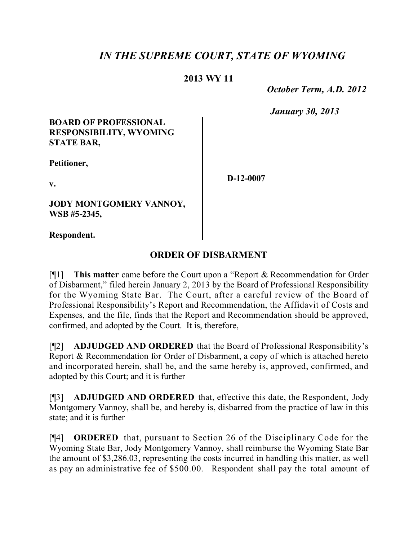# *IN THE SUPREME COURT, STATE OF WYOMING*

## **2013 WY 11**

 *October Term, A.D. 2012*

*January 30, 2013*

#### **BOARD OF PROFESSIONAL RESPONSIBILITY, WYOMING STATE BAR,**

**Petitioner,**

**v.**

**JODY MONTGOMERY VANNOY, WSB #5-2345,**

**D-12-0007**

**Respondent.**

## **ORDER OF DISBARMENT**

[¶1] **This matter** came before the Court upon a "Report & Recommendation for Order of Disbarment," filed herein January 2, 2013 by the Board of Professional Responsibility for the Wyoming State Bar. The Court, after a careful review of the Board of Professional Responsibility's Report and Recommendation, the Affidavit of Costs and Expenses, and the file, finds that the Report and Recommendation should be approved, confirmed, and adopted by the Court. It is, therefore,

[¶2] **ADJUDGED AND ORDERED** that the Board of Professional Responsibility's Report & Recommendation for Order of Disbarment, a copy of which is attached hereto and incorporated herein, shall be, and the same hereby is, approved, confirmed, and adopted by this Court; and it is further

[¶3] **ADJUDGED AND ORDERED** that, effective this date, the Respondent, Jody Montgomery Vannoy, shall be, and hereby is, disbarred from the practice of law in this state; and it is further

[¶4] **ORDERED** that, pursuant to Section 26 of the Disciplinary Code for the Wyoming State Bar, Jody Montgomery Vannoy, shall reimburse the Wyoming State Bar the amount of \$3,286.03, representing the costs incurred in handling this matter, as well as pay an administrative fee of \$500.00. Respondent shall pay the total amount of